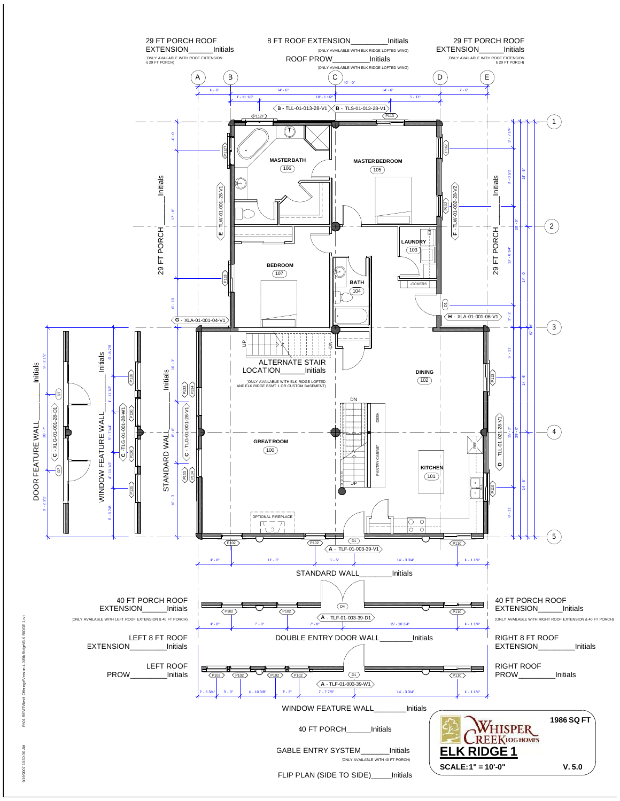

vit Offerings\Version 4.0\Elk Ridge\ELK RIDGE 1.rvt ingE 4 MFIk 9/19/2007 10:30:30 AM R:\01 REVIT\Rev **NOT REVIES** 

2/19/2007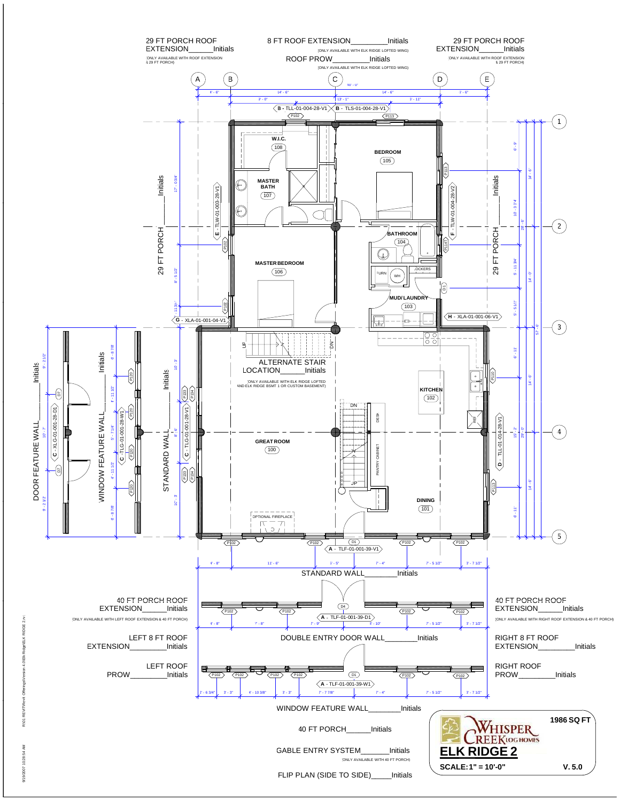

4 OVEIN ğ

9/19/2007 10:28:54 AM R:\01 REVIT\Rev 0-38 F 2/19/2007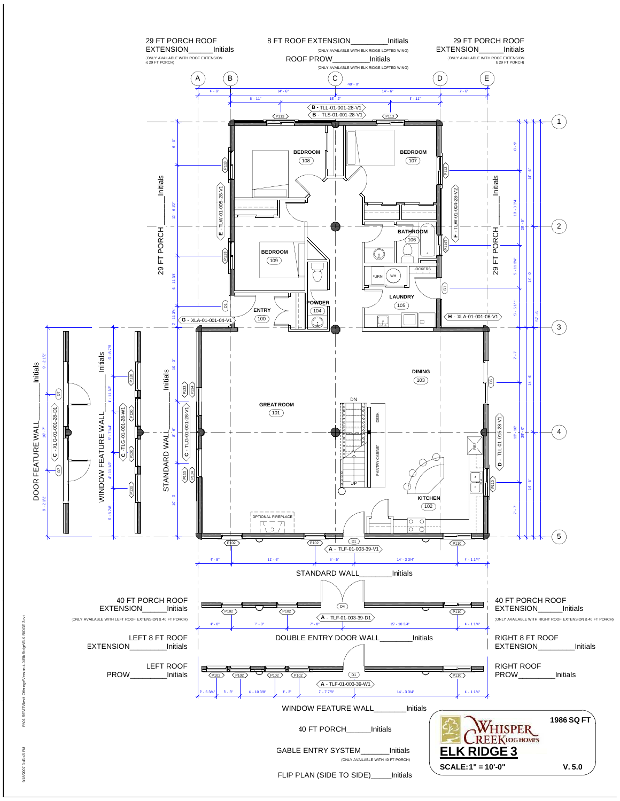

vit Offerings\Version 4.0\Elk Ridge\ELK RIDGE 3.rvt 4 OVEIN **NOT REVIES** 

9/18/2007 3:46:45 PM R:\01 REVIT\Rev 9/18/2007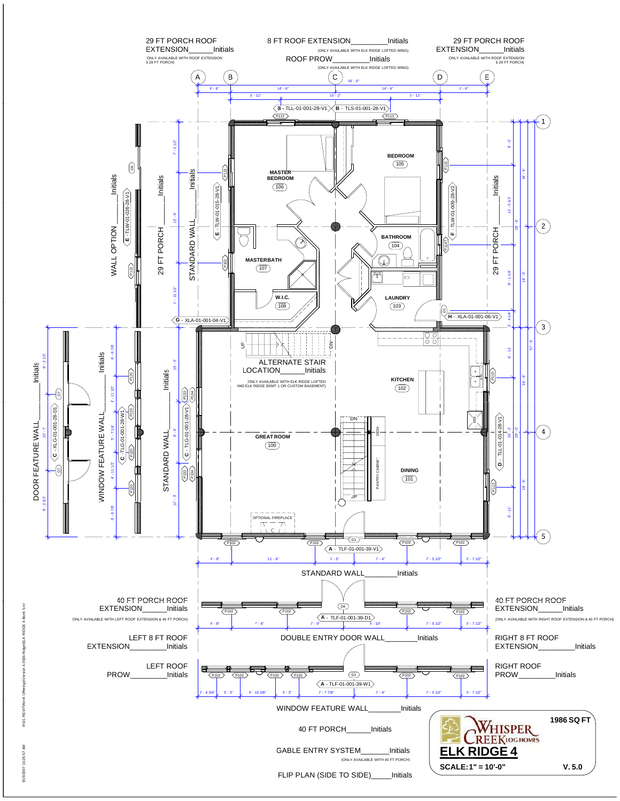

vit Offerings\Version 4.0\Elk Ridge\ELK RIDGE 4 Bsmt 5.rvt 4 ON FIIV **NOT REVIES** 12.36.47

9/19/2007 10:26:57 AM R:\01 REVIT\Rev 2/19/2007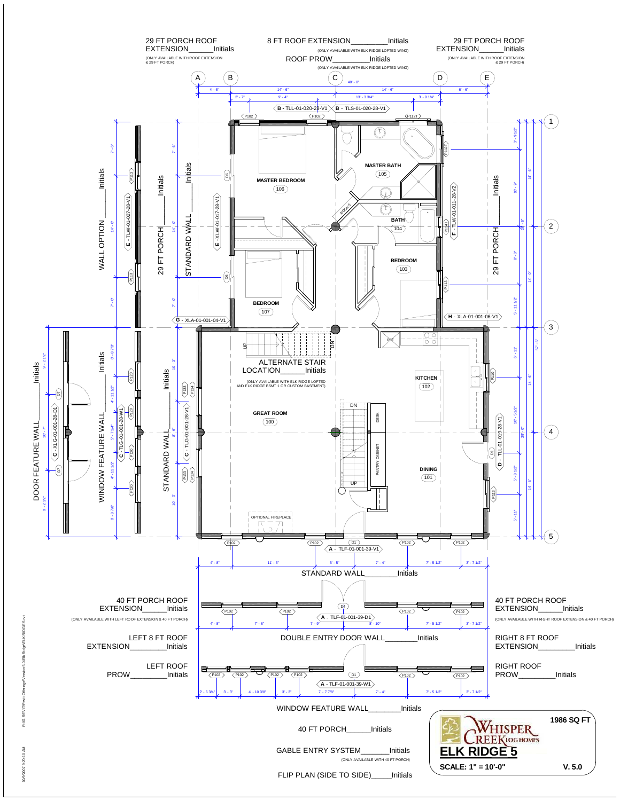

10/9/2007 9:20:10 AM R:\01 REVIT\Revit Offerings\Version 5.0\Elk Ridge\ELK RIDGE 5.rvt  $arcion$   $5$   $MFIk$ **R:\01 REVIT\RevitOffer** 

 $0.201$ 10/9/2007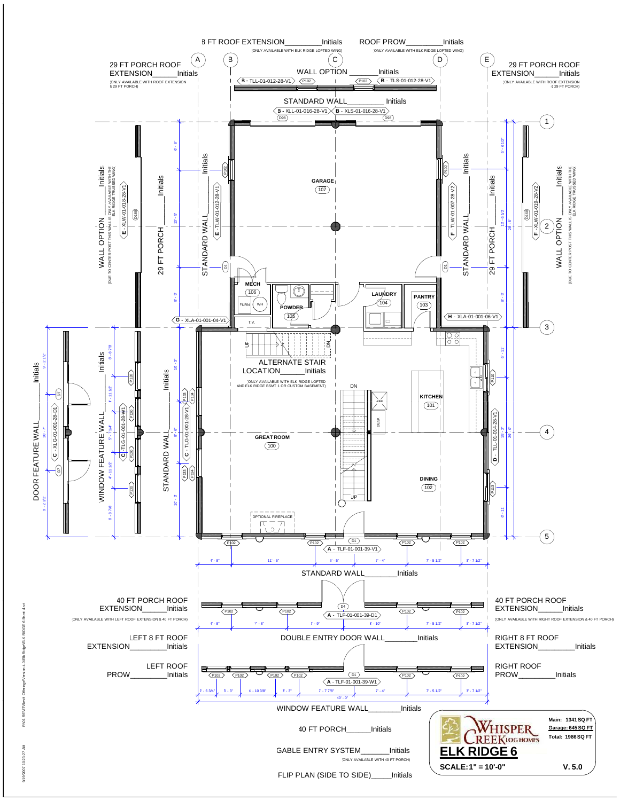